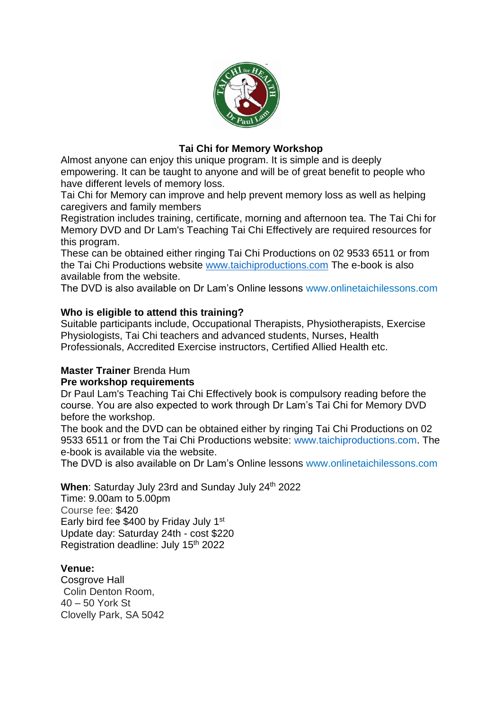

#### **Tai Chi for Memory Workshop**

Almost anyone can enjoy this unique program. It is simple and is deeply empowering. It can be taught to anyone and will be of great benefit to people who have different levels of memory loss.

Tai Chi for Memory can improve and help prevent memory loss as well as helping caregivers and family members

Registration includes training, certificate, morning and afternoon tea. The Tai Chi for Memory DVD and Dr Lam's Teaching Tai Chi Effectively are required resources for this program.

These can be obtained either ringing Tai Chi Productions on 02 9533 6511 or from the Tai Chi Productions website [www.taichiproductions.com](about:blank) The e-book is also available from the website.

The DVD is also available on Dr Lam's Online lessons www.onlinetaichilessons.com

#### **Who is eligible to attend this training?**

Suitable participants include, Occupational Therapists, Physiotherapists, Exercise Physiologists, Tai Chi teachers and advanced students, Nurses, Health Professionals, Accredited Exercise instructors, Certified Allied Health etc.

## **Master Trainer** Brenda Hum

#### **Pre workshop requirements**

Dr Paul Lam's Teaching Tai Chi Effectively book is compulsory reading before the course. You are also expected to work through Dr Lam's Tai Chi for Memory DVD before the workshop.

The book and the DVD can be obtained either by ringing Tai Chi Productions on 02 9533 6511 or from the Tai Chi Productions website: www.taichiproductions.com. The e-book is available via the website.

The DVD is also available on Dr Lam's Online lessons www.onlinetaichilessons.com

### When: Saturday July 23rd and Sunday July 24<sup>th</sup> 2022

Time: 9.00am to 5.00pm Course fee: \$420 Early bird fee \$400 by Friday July 1<sup>st</sup> Update day: Saturday 24th - cost \$220 Registration deadline: July 15th 2022

#### **Venue:**

Cosgrove Hall Colin Denton Room, 40 – 50 York St Clovelly Park, SA 5042